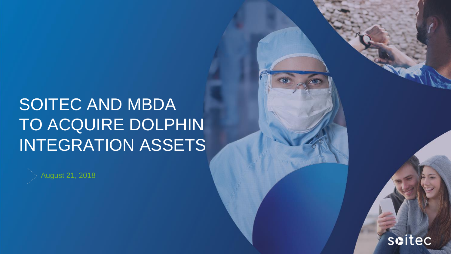# SOITEC AND MBDA TO ACQUIRE DOLPHIN INTEGRATION ASSETS



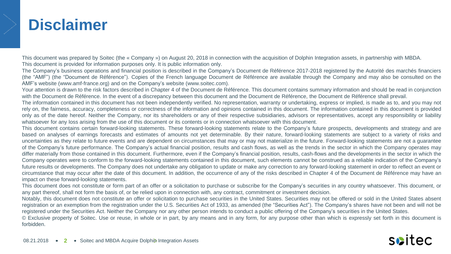### **Disclaimer**

This document was prepared by Soitec (the « Company ») on August 20, 2018 in connection with the acquisition of Dolphin Integration assets, in partnership with MBDA. This document is provided for information purposes only. It is public information only.

The Company's business operations and financial position is described in the Company's Document de Référence 2017-2018 registered by the Autorité des marchés financiers (the "AMF") (the "Document de Référence"). Copies of the French language Document de Référence are available through the Company and may also be consulted on the AMF's website (www.amf-france.org) and on the Company's website (www.soitec.com).

Your attention is drawn to the risk factors described in Chapter 4 of the Document de Référence. This document contains summary information and should be read in conjunction with the Document de Référence. In the event of a discrepancy between this document and the Document de Référence, the Document de Référence shall prevail.

The information contained in this document has not been independently verified. No representation, warranty or undertaking, express or implied, is made as to, and you may not rely on, the fairness, accuracy, completeness or correctness of the information and opinions contained in this document. The information contained in this document is provided only as of the date hereof. Neither the Company, nor its shareholders or any of their respective subsidiaries, advisors or representatives, accept any responsibility or liability whatsoever for any loss arising from the use of this document or its contents or in connection whatsoever with this document.

This document contains certain forward-looking statements. These forward-looking statements relate to the Company's future prospects, developments and strategy and are based on analyses of earnings forecasts and estimates of amounts not yet determinable. By their nature, forward-looking statements are subject to a variety of risks and uncertainties as they relate to future events and are dependent on circumstances that may or may not materialize in the future. Forward-looking statements are not a guarantee of the Company's future performance. The Company's actual financial position, results and cash flows, as well as the trends in the sector in which the Company operates may differ materially from those contained in this document. Furthermore, even if the Company's financial position, results, cash-flows and the developments in the sector in which the Company operates were to conform to the forward-looking statements contained in this document, such elements cannot be construed as a reliable indication of the Company's future results or developments. The Company does not undertake any obligation to update or make any correction to any forward-looking statement in order to reflect an event or circumstance that may occur after the date of this document. In addition, the occurrence of any of the risks described in Chapter 4 of the Document de Référence may have an impact on these forward-looking statements.

This document does not constitute or form part of an offer or a solicitation to purchase or subscribe for the Company's securities in any country whatsoever. This document, or any part thereof, shall not form the basis of, or be relied upon in connection with, any contract, commitment or investment decision.

Notably, this document does not constitute an offer or solicitation to purchase securities in the United States. Securities may not be offered or sold in the United States absent registration or an exemption from the registration under the U.S. Securities Act of 1933, as amended (the "Securities Act"). The Company's shares have not been and will not be registered under the Securities Act. Neither the Company nor any other person intends to conduct a public offering of the Company's securities in the United States.

© Exclusive property of Soitec. Use or reuse, in whole or in part, by any means and in any form, for any purpose other than which is expressly set forth in this document is forbidden.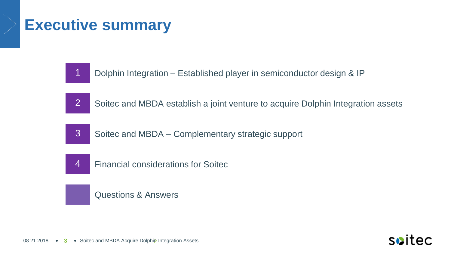## **Executive summary**



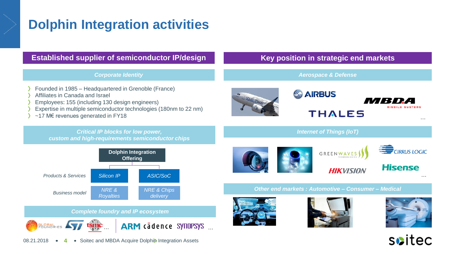### **Dolphin Integration activities**

### **Established supplier of semiconductor IP/design Key position in strategic end markets**

#### *Corporate Identity*

- 〉 Founded in 1985 Headquartered in Grenoble (France) 〉 Affiliates in Canada and Israel
- Employees: 155 (including 130 design engineers)
- Expertise in multiple semiconductor technologies (180nm to 22 nm)
- 〉 ~17 M€ revenues generated in FY18

*Critical IP blocks for low power, custom and high-requirements semiconductor chips*





*Aerospace & Defense*

**GAIRBUS** 

**THALES** 

*Internet of Things (IoT)*



#### *Other end markets : Automotive – Consumer – Medical*







…

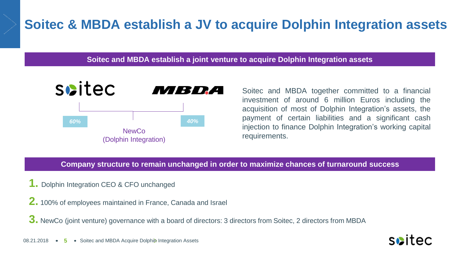### **Soitec & MBDA establish a JV to acquire Dolphin Integration assets**

**Soitec and MBDA establish a joint venture to acquire Dolphin Integration assets**



Soitec and MBDA together committed to a financial investment of around 6 million Euros including the acquisition of most of Dolphin Integration's assets, the payment of certain liabilities and a significant cash injection to finance Dolphin Integration's working capital requirements.

**Company structure to remain unchanged in order to maximize chances of turnaround success**

- **1.** Dolphin Integration CEO & CFO unchanged
- **2.** 100% of employees maintained in France, Canada and Israel

**3.** NewCo (joint venture) governance with a board of directors: 3 directors from Soitec, 2 directors from MBDA

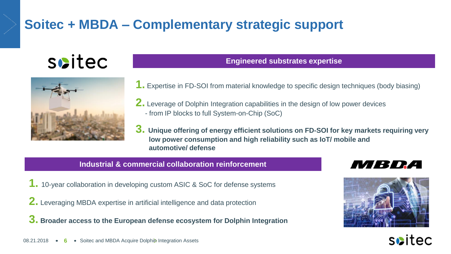### **Soitec + MBDA – Complementary strategic support**





### **Engineered substrates expertise**

- **1.** Expertise in FD-SOI from material knowledge to specific design techniques (body biasing)
- **2.** Leverage of Dolphin Integration capabilities in the design of low power devices - from IP blocks to full System-on-Chip (SoC)
- **3. Unique offering of energy efficient solutions on FD-SOI for key markets requiring very low power consumption and high reliability such as IoT/ mobile and automotive/ defense**

#### **Industrial & commercial collaboration reinforcement**

- **1.** 10-year collaboration in developing custom ASIC & SoC for defense systems
- **2.** Leveraging MBDA expertise in artificial intelligence and data protection
- **3. Broader access to the European defense ecosystem for Dolphin Integration**

### MBDA



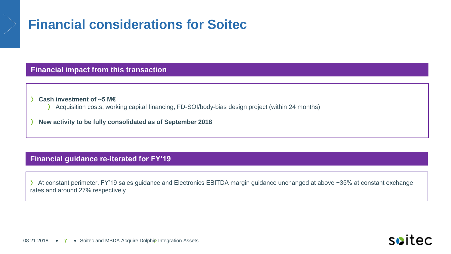### **Financial considerations for Soitec**

#### **Financial impact from this transaction**

- 〉 **Cash investment of ~5 M€** 
	- 〉 Acquisition costs, working capital financing, FD-SOI/body-bias design project (within 24 months)
- 〉 **New activity to be fully consolidated as of September 2018**

#### **Financial guidance re-iterated for FY'19**

〉 At constant perimeter, FY'19 sales guidance and Electronics EBITDA margin guidance unchanged at above +35% at constant exchange rates and around 27% respectively

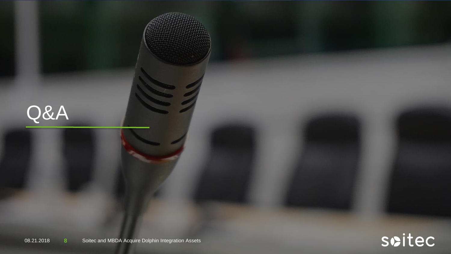